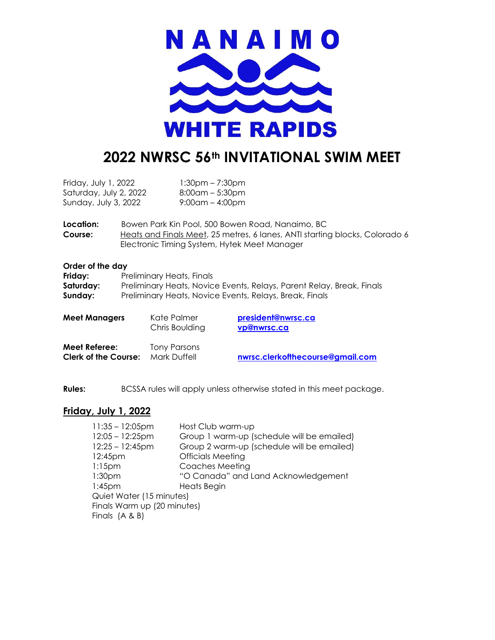

# **2022 NWRSC 56th INVITATIONAL SWIM MEET**

| Friday, July 1, 2022   | 1:30pm – 7:30pm    |
|------------------------|--------------------|
| Saturday, July 2, 2022 | $8:00$ am – 5:30pm |
| Sunday, July 3, 2022   | $9:00$ am – 4:00pm |

**Location:** Bowen Park Kin Pool, 500 Bowen Road, Nanaimo, BC **Course:** Heats and Finals Meet, 25 metres, 6 lanes, ANTI starting blocks, Colorado 6 Electronic Timing System, Hytek Meet Manager

#### **Order of the day**

| Friday:   | Preliminary Heats, Finals                                             |
|-----------|-----------------------------------------------------------------------|
| Saturday: | Preliminary Heats, Novice Events, Relays, Parent Relay, Break, Finals |
| Sunday:   | Preliminary Heats, Novice Events, Relays, Break, Finals               |

| <b>Meet Managers</b>                                | Kate Palmer<br>Chris Boulding | president@nwrsc.ca<br>vp@nwrsc.ca |
|-----------------------------------------------------|-------------------------------|-----------------------------------|
| <b>Meet Referee:</b><br><b>Clerk of the Course:</b> | Tony Parsons<br>Mark Duffell  | nwrsc.clerkoffhecourse@gmail.com  |

**Rules:** BCSSA rules will apply unless otherwise stated in this meet package.

#### **Friday, July 1, 2022**

| $11:35 - 12:05$ pm          | Host Club warm-up                          |
|-----------------------------|--------------------------------------------|
| $12:05 - 12:25$ pm          | Group 1 warm-up (schedule will be emailed) |
| $12:25 - 12:45$ pm          | Group 2 warm-up (schedule will be emailed) |
| 12:45pm                     | <b>Officials Meeting</b>                   |
| $1:15$ pm                   | Coaches Meeting                            |
| 1:30 <sub>pm</sub>          | "O Canada" and Land Acknowledgement        |
| $1:45$ pm                   | Heats Begin                                |
| Quiet Water (15 minutes)    |                                            |
| Finals Warm up (20 minutes) |                                            |
| Finals $(A & B)$            |                                            |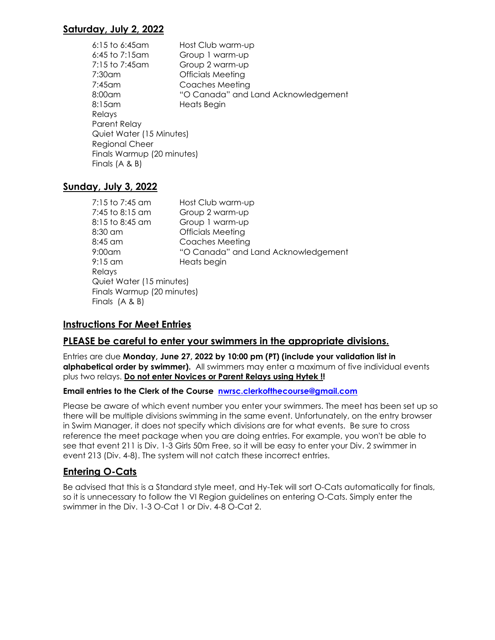## **Saturday, July 2, 2022**

| $6:15$ to $6:45$ am        | Host Club warm-up                   |
|----------------------------|-------------------------------------|
| $6:45$ to 7:15am           | Group 1 warm-up                     |
| 7:15 to 7:45am             | Group 2 warm-up                     |
| 7:30am                     | <b>Officials Meeting</b>            |
| $7:45$ am                  | Coaches Meeting                     |
| $8:00$ am                  | "O Canada" and Land Acknowledgement |
| $8:15$ am                  | Heats Begin                         |
| Relays                     |                                     |
| Parent Relay               |                                     |
| Quiet Water (15 Minutes)   |                                     |
| <b>Regional Cheer</b>      |                                     |
| Finals Warmup (20 minutes) |                                     |
| Finals $(A & B)$           |                                     |
|                            |                                     |

## **Sunday, July 3, 2022**

| 7:15 to 7:45 am            | Host Club warm-up                   |
|----------------------------|-------------------------------------|
| 7:45 to 8:15 am            | Group 2 warm-up                     |
| 8:15 to 8:45 am            | Group 1 warm-up                     |
| 8:30 am                    | <b>Officials Meeting</b>            |
| 8:45 am                    | Coaches Meeting                     |
| 9:00am                     | "O Canada" and Land Acknowledgement |
| $9:15$ am                  | Heats begin                         |
| Relays                     |                                     |
| Quiet Water (15 minutes)   |                                     |
| Finals Warmup (20 minutes) |                                     |
| Finals $(A & B)$           |                                     |

## **Instructions For Meet Entries**

## **PLEASE be careful to enter your swimmers in the appropriate divisions.**

Entries are due **Monday, June 27, 2022 by 10:00 pm (PT) (include your validation list in alphabetical order by swimmer).** All swimmers may enter a maximum of five individual events plus two relays. **Do not enter Novices or Parent Relays using Hytek !!** 

#### **Email entries to the Clerk of the Course [nwrsc.clerkofthecourse@gmail.com](mailto:nwrsc.clerkofthecourse@gmail.com)**

Please be aware of which event number you enter your swimmers. The meet has been set up so there will be multiple divisions swimming in the same event. Unfortunately, on the entry browser in Swim Manager, it does not specify which divisions are for what events. Be sure to cross reference the meet package when you are doing entries. For example, you won't be able to see that event 211 is Div. 1-3 Girls 50m Free, so it will be easy to enter your Div. 2 swimmer in event 213 (Div. 4-8). The system will not catch these incorrect entries.

## **Entering O-Cats**

Be advised that this is a Standard style meet, and Hy-Tek will sort O-Cats automatically for finals, so it is unnecessary to follow the VI Region guidelines on entering O-Cats. Simply enter the swimmer in the Div. 1-3 O-Cat 1 or Div. 4-8 O-Cat 2.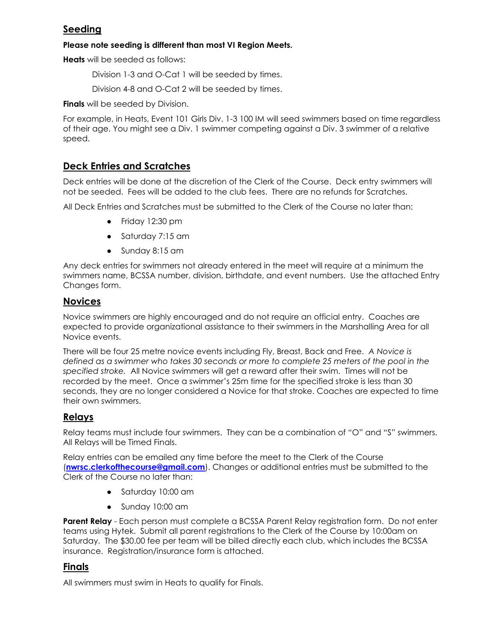## **Seeding**

#### **Please note seeding is different than most VI Region Meets.**

**Heats** will be seeded as follows:

Division 1-3 and O-Cat 1 will be seeded by times.

Division 4-8 and O-Cat 2 will be seeded by times.

**Finals** will be seeded by Division.

For example, in Heats, Event 101 Girls Div. 1-3 100 IM will seed swimmers based on time regardless of their age. You might see a Div. 1 swimmer competing against a Div. 3 swimmer of a relative speed.

## **Deck Entries and Scratches**

Deck entries will be done at the discretion of the Clerk of the Course. Deck entry swimmers will not be seeded. Fees will be added to the club fees. There are no refunds for Scratches.

All Deck Entries and Scratches must be submitted to the Clerk of the Course no later than:

- Friday 12:30 pm
- Saturday 7:15 am
- Sunday 8:15 am

Any deck entries for swimmers not already entered in the meet will require at a minimum the swimmers name, BCSSA number, division, birthdate, and event numbers. Use the attached Entry Changes form.

## **Novices**

Novice swimmers are highly encouraged and do not require an official entry. Coaches are expected to provide organizational assistance to their swimmers in the Marshalling Area for all Novice events.

There will be four 25 metre novice events including Fly, Breast, Back and Free. *A Novice is defined as a swimmer who takes 30 seconds or more to complete 25 meters of the pool in the specified stroke.* All Novice swimmers will get a reward after their swim. Times will not be recorded by the meet. Once a swimmer's 25m time for the specified stroke is less than 30 seconds, they are no longer considered a Novice for that stroke. Coaches are expected to time their own swimmers.

## **Relays**

Relay teams must include four swimmers. They can be a combination of "O" and "S" swimmers. All Relays will be Timed Finals.

Relay entries can be emailed any time before the meet to the Clerk of the Course (**[nwrsc.clerkofthecourse@gmail.com](mailto:nwrsc.clerkofthecourse@gmail.com)**). Changes or additional entries must be submitted to the Clerk of the Course no later than:

- Saturday 10:00 am
- Sunday 10:00 am

**Parent Relay** - Each person must complete a BCSSA Parent Relay registration form. Do not enter teams using Hytek. Submit all parent registrations to the Clerk of the Course by 10:00am on Saturday. The \$30.00 fee per team will be billed directly each club, which includes the BCSSA insurance. Registration/insurance form is attached.

## **Finals**

All swimmers must swim in Heats to qualify for Finals.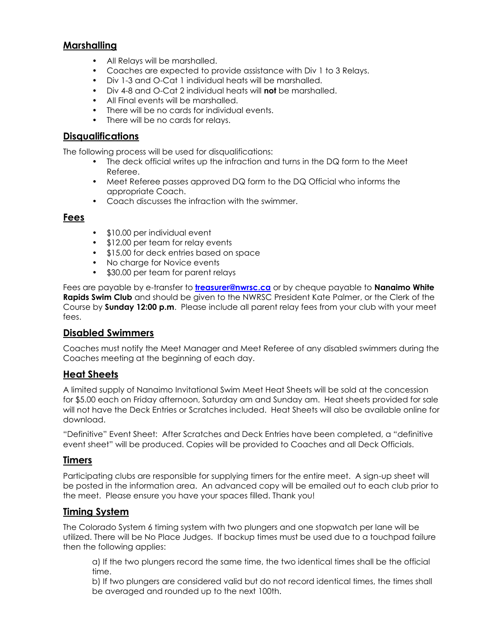## **Marshalling**

- All Relays will be marshalled.
- Coaches are expected to provide assistance with Div 1 to 3 Relays.
- Div 1-3 and O-Cat 1 individual heats will be marshalled.
- Div 4-8 and O-Cat 2 individual heats will **not** be marshalled.
- All Final events will be marshalled.
- There will be no cards for individual events.
- There will be no cards for relays.

#### **Disqualifications**

The following process will be used for disqualifications:

- The deck official writes up the infraction and turns in the DQ form to the Meet Referee.
- Meet Referee passes approved DQ form to the DQ Official who informs the appropriate Coach.
- Coach discusses the infraction with the swimmer.

#### **Fees**

- \$10.00 per individual event
- \$12.00 per team for relay events
- \$15.00 for deck entries based on space
- No charge for Novice events
- \$30.00 per team for parent relays

Fees are payable by e-transfer to **[treasurer@nwrsc.ca](mailto:treasurer@nwrsc.ca)** or by cheque payable to **Nanaimo White Rapids Swim Club** and should be given to the NWRSC President Kate Palmer, or the Clerk of the Course by **Sunday 12:00 p.m**. Please include all parent relay fees from your club with your meet fees.

#### **Disabled Swimmers**

Coaches must notify the Meet Manager and Meet Referee of any disabled swimmers during the Coaches meeting at the beginning of each day.

#### **Heat Sheets**

A limited supply of Nanaimo Invitational Swim Meet Heat Sheets will be sold at the concession for \$5.00 each on Friday afternoon, Saturday am and Sunday am. Heat sheets provided for sale will not have the Deck Entries or Scratches included. Heat Sheets will also be available online for download.

"Definitive" Event Sheet: After Scratches and Deck Entries have been completed, a "definitive event sheet" will be produced. Copies will be provided to Coaches and all Deck Officials.

#### **Timers**

Participating clubs are responsible for supplying timers for the entire meet. A sign-up sheet will be posted in the information area. An advanced copy will be emailed out to each club prior to the meet. Please ensure you have your spaces filled. Thank you!

#### **Timing System**

The Colorado System 6 timing system with two plungers and one stopwatch per lane will be utilized. There will be No Place Judges. If backup times must be used due to a touchpad failure then the following applies:

a) If the two plungers record the same time, the two identical times shall be the official time.

b) If two plungers are considered valid but do not record identical times, the times shall be averaged and rounded up to the next 100th.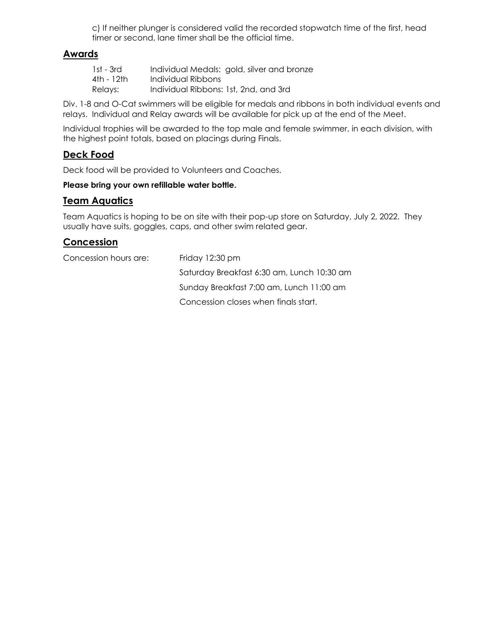c) If neither plunger is considered valid the recorded stopwatch time of the first, head timer or second, lane timer shall be the official time.

#### **Awards**

| 1st - 3rd  | Individual Medals: gold, silver and bronze |
|------------|--------------------------------------------|
| 4th - 12th | Individual Ribbons                         |
| Relays:    | Individual Ribbons: 1st, 2nd, and 3rd      |

Div. 1-8 and O-Cat swimmers will be eligible for medals and ribbons in both individual events and relays. Individual and Relay awards will be available for pick up at the end of the Meet.

Individual trophies will be awarded to the top male and female swimmer, in each division, with the highest point totals, based on placings during Finals.

## **Deck Food**

Deck food will be provided to Volunteers and Coaches.

#### **Please bring your own refillable water bottle.**

#### **Team Aquatics**

Team Aquatics is hoping to be on site with their pop-up store on Saturday, July 2, 2022. They usually have suits, goggles, caps, and other swim related gear.

## **Concession**

Concession hours are: Friday 12:30 pm Saturday Breakfast 6:30 am, Lunch 10:30 am Sunday Breakfast 7:00 am, Lunch 11:00 am Concession closes when finals start.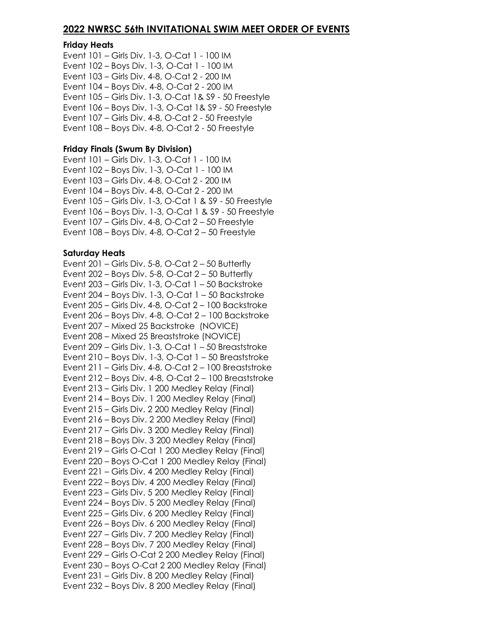#### **2022 NWRSC 56th INVITATIONAL SWIM MEET ORDER OF EVENTS**

#### **Friday Heats**

Event 101 – Girls Div. 1-3, O-Cat 1 - 100 IM Event 102 – Boys Div. 1-3, O-Cat 1 - 100 IM Event 103 – Girls Div. 4-8, O-Cat 2 - 200 IM Event 104 – Boys Div. 4-8, O-Cat 2 - 200 IM Event 105 – Girls Div. 1-3, O-Cat 1& S9 - 50 Freestyle Event 106 – Boys Div. 1-3, O-Cat 1& S9 - 50 Freestyle Event 107 – Girls Div. 4-8, O-Cat 2 - 50 Freestyle Event 108 – Boys Div. 4-8, O-Cat 2 - 50 Freestyle

#### **Friday Finals (Swum By Division)**

Event 101 – Girls Div. 1-3, O-Cat 1 - 100 IM Event 102 – Boys Div. 1-3, O-Cat 1 - 100 IM Event 103 – Girls Div. 4-8, O-Cat 2 - 200 IM Event 104 – Boys Div. 4-8, O-Cat 2 - 200 IM Event 105 – Girls Div. 1-3, O-Cat 1 & S9 - 50 Freestyle Event 106 – Boys Div. 1-3, O-Cat 1 & S9 - 50 Freestyle Event 107 – Girls Div. 4-8, O-Cat 2 – 50 Freestyle Event 108 – Boys Div. 4-8, O-Cat 2 – 50 Freestyle

#### **Saturday Heats**

Event  $201$  – Girls Div. 5-8, O-Cat  $2 - 50$  Butterfly Event  $202$  – Boys Div. 5-8, O-Cat  $2$  – 50 Butterfly Event 203 – Girls Div. 1-3, O-Cat 1 – 50 Backstroke Event 204 – Boys Div. 1-3, O-Cat 1 – 50 Backstroke Event 205 – Girls Div. 4-8, O-Cat 2 – 100 Backstroke Event 206 – Boys Div. 4-8, O-Cat 2 – 100 Backstroke Event 207 – Mixed 25 Backstroke (NOVICE) Event 208 – Mixed 25 Breaststroke (NOVICE) Event 209 – Girls Div. 1-3, O-Cat 1 – 50 Breaststroke Event 210 – Boys Div. 1-3, O-Cat 1 – 50 Breaststroke Event 211 – Girls Div. 4-8, O-Cat 2 – 100 Breaststroke Event 212 – Boys Div. 4-8, O-Cat 2 – 100 Breaststroke Event 213 – Girls Div. 1 200 Medley Relay (Final) Event 214 – Boys Div. 1 200 Medley Relay (Final) Event 215 – Girls Div. 2 200 Medley Relay (Final) Event 216 – Boys Div. 2 200 Medley Relay (Final) Event 217 – Girls Div. 3 200 Medley Relay (Final) Event 218 – Boys Div. 3 200 Medley Relay (Final) Event 219 – Girls O-Cat 1 200 Medley Relay (Final) Event 220 – Boys O-Cat 1 200 Medley Relay (Final) Event 221 – Girls Div. 4 200 Medley Relay (Final) Event 222 – Boys Div. 4 200 Medley Relay (Final) Event 223 – Girls Div. 5 200 Medley Relay (Final) Event 224 – Boys Div. 5 200 Medley Relay (Final) Event 225 – Girls Div. 6 200 Medley Relay (Final) Event 226 – Boys Div. 6 200 Medley Relay (Final) Event 227 – Girls Div. 7 200 Medley Relay (Final) Event 228 – Boys Div. 7 200 Medley Relay (Final) Event 229 – Girls O-Cat 2 200 Medley Relay (Final) Event 230 – Boys O-Cat 2 200 Medley Relay (Final) Event 231 – Girls Div. 8 200 Medley Relay (Final) Event 232 – Boys Div. 8 200 Medley Relay (Final)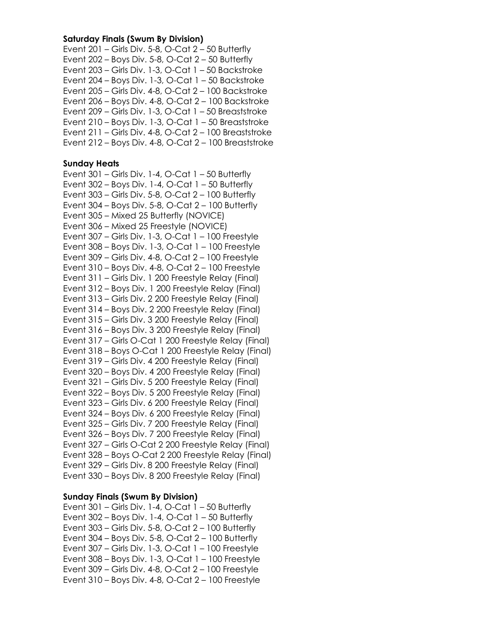#### **Saturday Finals (Swum By Division)**

Event 201 – Girls Div. 5-8, O-Cat 2 – 50 Butterfly Event  $202$  – Boys Div. 5-8, O-Cat  $2 - 50$  Butterfly Event 203 – Girls Div. 1-3, O-Cat 1 – 50 Backstroke Event 204 – Boys Div. 1-3, O-Cat 1 – 50 Backstroke Event 205 – Girls Div. 4-8, O-Cat 2 – 100 Backstroke Event 206 – Boys Div. 4-8, O-Cat 2 – 100 Backstroke Event 209 – Girls Div. 1-3, O-Cat 1 – 50 Breaststroke Event 210 – Boys Div. 1-3, O-Cat 1 – 50 Breaststroke Event 211 – Girls Div. 4-8, O-Cat 2 – 100 Breaststroke Event 212 – Boys Div. 4-8, O-Cat 2 – 100 Breaststroke

#### **Sunday Heats**

Event  $301$  – Girls Div. 1-4, O-Cat  $1 - 50$  Butterfly Event  $302$  – Boys Div. 1-4, O-Cat  $1 - 50$  Butterfly Event 303 – Girls Div. 5-8, O-Cat 2 – 100 Butterfly Event 304 – Boys Div. 5-8, O-Cat 2 – 100 Butterfly Event 305 – Mixed 25 Butterfly (NOVICE) Event 306 – Mixed 25 Freestyle (NOVICE) Event 307 – Girls Div. 1-3, O-Cat 1 – 100 Freestyle Event 308 – Boys Div. 1-3, O-Cat 1 – 100 Freestyle Event 309 – Girls Div. 4-8, O-Cat 2 – 100 Freestyle Event 310 – Boys Div. 4-8, O-Cat 2 – 100 Freestyle Event 311 – Girls Div. 1 200 Freestyle Relay (Final) Event 312 – Boys Div. 1 200 Freestyle Relay (Final) Event 313 – Girls Div. 2 200 Freestyle Relay (Final) Event 314 – Boys Div. 2 200 Freestyle Relay (Final) Event 315 – Girls Div. 3 200 Freestyle Relay (Final) Event 316 – Boys Div. 3 200 Freestyle Relay (Final) Event 317 – Girls O-Cat 1 200 Freestyle Relay (Final) Event 318 – Boys O-Cat 1 200 Freestyle Relay (Final) Event 319 – Girls Div. 4 200 Freestyle Relay (Final) Event 320 – Boys Div. 4 200 Freestyle Relay (Final) Event 321 – Girls Div. 5 200 Freestyle Relay (Final) Event 322 – Boys Div. 5 200 Freestyle Relay (Final) Event 323 – Girls Div. 6 200 Freestyle Relay (Final) Event 324 – Boys Div. 6 200 Freestyle Relay (Final) Event 325 – Girls Div. 7 200 Freestyle Relay (Final) Event 326 – Boys Div. 7 200 Freestyle Relay (Final) Event 327 – Girls O-Cat 2 200 Freestyle Relay (Final) Event 328 – Boys O-Cat 2 200 Freestyle Relay (Final) Event 329 – Girls Div. 8 200 Freestyle Relay (Final) Event 330 – Boys Div. 8 200 Freestyle Relay (Final)

#### **Sunday Finals (Swum By Division)**

Event  $301$  – Girls Div. 1-4, O-Cat  $1 - 50$  Butterfly Event  $302$  – Boys Div. 1-4, O-Cat  $1 - 50$  Butterfly Event 303 – Girls Div. 5-8, O-Cat 2 – 100 Butterfly Event 304 – Boys Div. 5-8, O-Cat 2 – 100 Butterfly Event 307 – Girls Div. 1-3, O-Cat 1 – 100 Freestyle Event 308 – Boys Div. 1-3, O-Cat 1 – 100 Freestyle Event 309 – Girls Div. 4-8, O-Cat 2 – 100 Freestyle Event 310 – Boys Div. 4-8, O-Cat 2 – 100 Freestyle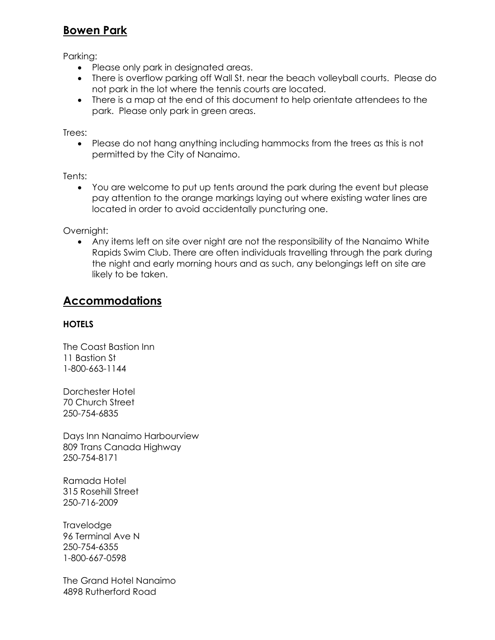## **Bowen Park**

Parking:

- Please only park in designated areas.
- There is overflow parking off Wall St. near the beach volleyball courts. Please do not park in the lot where the tennis courts are located.
- There is a map at the end of this document to help orientate attendees to the park. Please only park in green areas.

Trees:

• Please do not hang anything including hammocks from the trees as this is not permitted by the City of Nanaimo.

Tents:

• You are welcome to put up tents around the park during the event but please pay attention to the orange markings laying out where existing water lines are located in order to avoid accidentally puncturing one.

Overnight:

• Any items left on site over night are not the responsibility of the Nanaimo White Rapids Swim Club. There are often individuals travelling through the park during the night and early morning hours and as such, any belongings left on site are likely to be taken.

## **Accommodations**

## **HOTELS**

The Coast Bastion Inn 11 Bastion St 1-800-663-1144

Dorchester Hotel 70 Church Street 250-754-6835

Days Inn Nanaimo Harbourview 809 Trans Canada Highway 250-754-8171

Ramada Hotel 315 Rosehill Street 250-716-2009

**Travelodge** 96 Terminal Ave N 250-754-6355 1-800-667-0598

The Grand Hotel Nanaimo 4898 Rutherford Road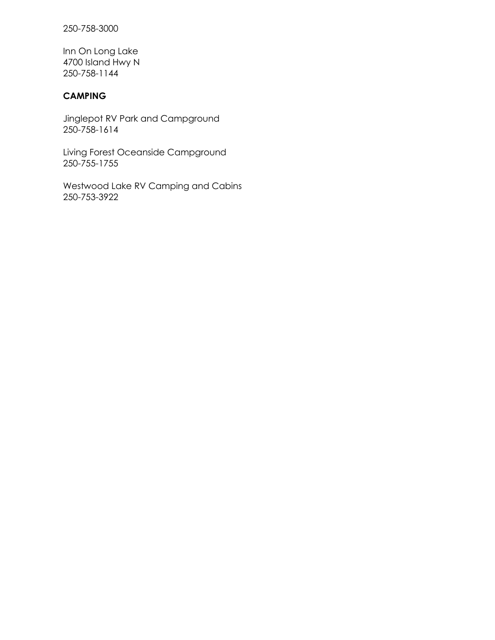250-758-3000

Inn On Long Lake 4700 Island Hwy N 250-758-1144

## **CAMPING**

Jinglepot RV Park and Campground 250-758-1614

Living Forest Oceanside Campground 250-755-1755

Westwood Lake RV Camping and Cabins 250-753-3922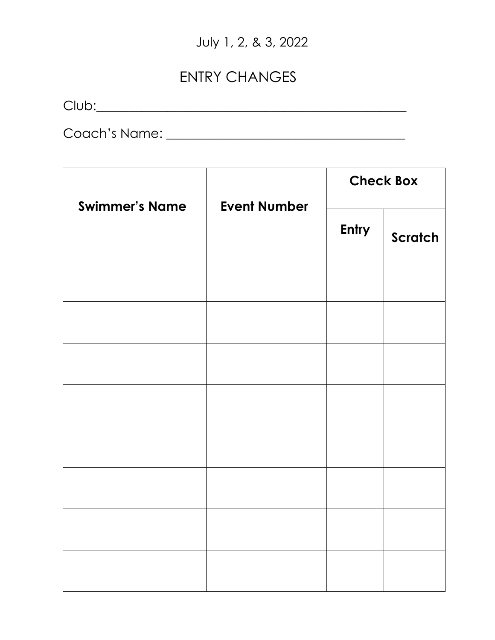# July 1, 2, & 3, 2022

# ENTRY CHANGES

 $Club:$ 

Coach's Name: \_\_\_\_\_\_\_\_\_\_\_\_\_\_\_\_\_\_\_\_\_\_\_\_\_\_\_\_\_\_\_\_\_\_\_\_\_

| <b>Swimmer's Name</b> | <b>Event Number</b> | <b>Check Box</b> |         |
|-----------------------|---------------------|------------------|---------|
|                       |                     | Entry            | Scratch |
|                       |                     |                  |         |
|                       |                     |                  |         |
|                       |                     |                  |         |
|                       |                     |                  |         |
|                       |                     |                  |         |
|                       |                     |                  |         |
|                       |                     |                  |         |
|                       |                     |                  |         |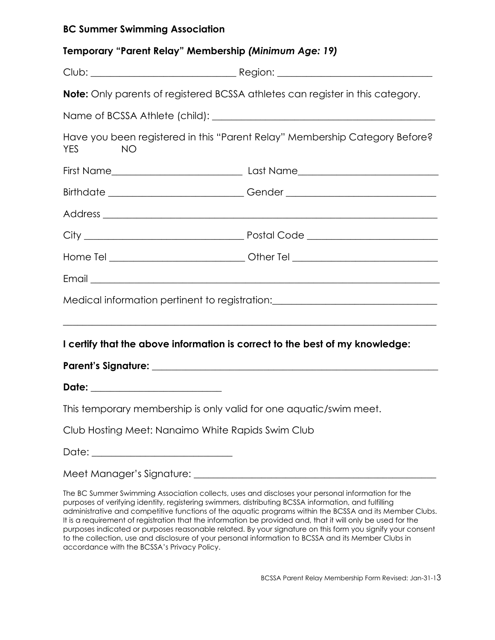## **BC Summer Swimming Association**

| Temporary "Parent Relay" Membership (Minimum Age: 19) |                                                                                       |
|-------------------------------------------------------|---------------------------------------------------------------------------------------|
|                                                       |                                                                                       |
|                                                       | <b>Note:</b> Only parents of registered BCSSA athletes can register in this category. |
|                                                       |                                                                                       |
| YES<br><b>NO</b>                                      | Have you been registered in this "Parent Relay" Membership Category Before?           |
|                                                       |                                                                                       |
|                                                       | Birthdate _________________________________Gender ______________________________      |
|                                                       |                                                                                       |
|                                                       |                                                                                       |
|                                                       | Home Tel ______________________________Other Tel _______________________________      |
|                                                       |                                                                                       |
|                                                       | Medical information pertinent to registration: _________________________________      |
|                                                       |                                                                                       |
|                                                       | I certify that the above information is correct to the best of my knowledge:          |
|                                                       |                                                                                       |
| Date: _________________________                       |                                                                                       |
|                                                       | This temporary membership is only valid for one aquatic/swim meet.                    |
| Club Hosting Meet: Nanaimo White Rapids Swim Club     |                                                                                       |
| Date: ____________________________                    |                                                                                       |
|                                                       |                                                                                       |

The BC Summer Swimming Association collects, uses and discloses your personal information for the purposes of verifying identity, registering swimmers, distributing BCSSA information, and fulfilling administrative and competitive functions of the aquatic programs within the BCSSA and its Member Clubs. It is a requirement of registration that the information be provided and, that it will only be used for the purposes indicated or purposes reasonable related. By your signature on this form you signify your consent to the collection, use and disclosure of your personal information to BCSSA and its Member Clubs in accordance with the BCSSA's Privacy Policy.

BCSSA Parent Relay Membership Form Revised: Jan-31-13